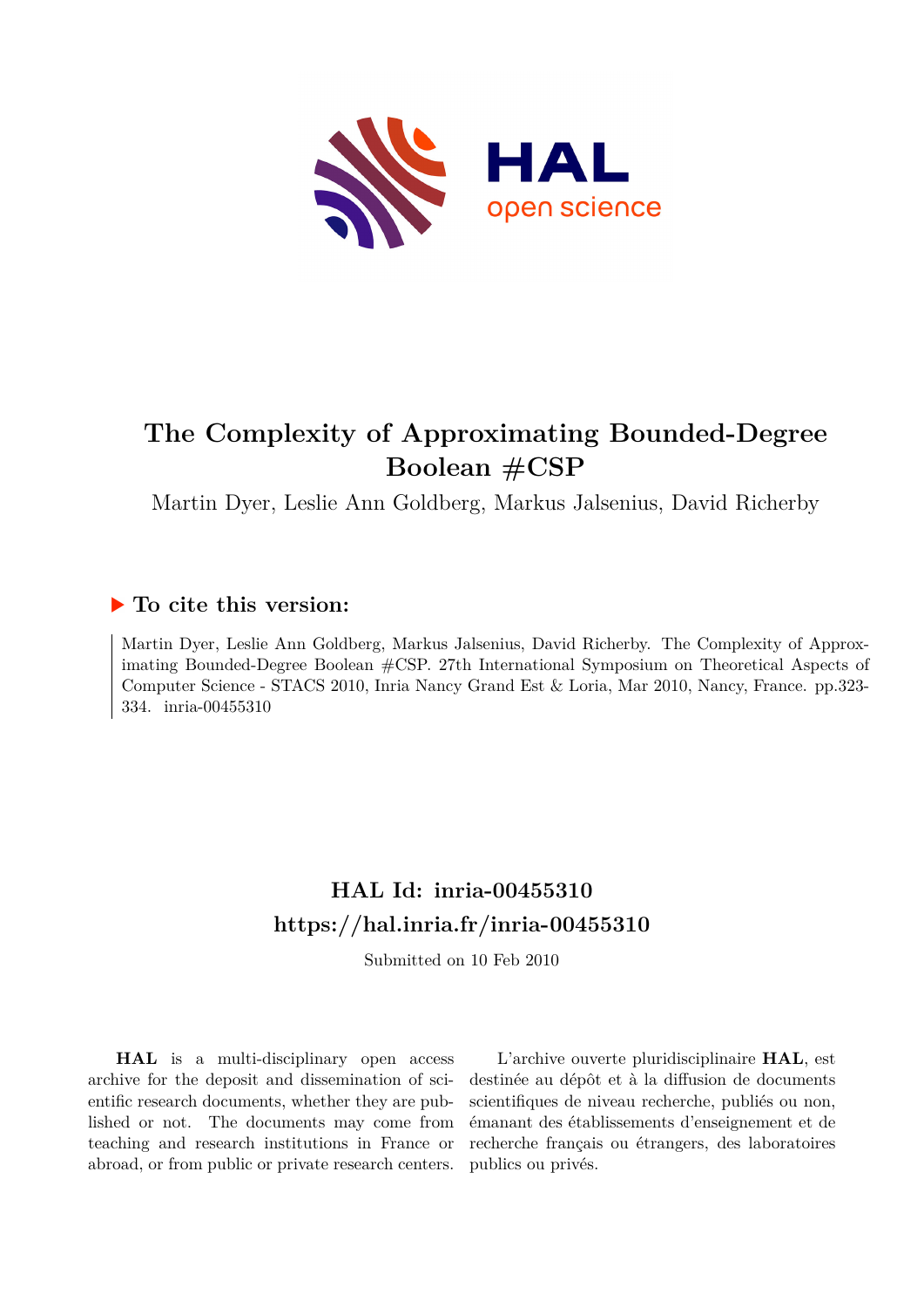

# **The Complexity of Approximating Bounded-Degree Boolean #CSP**

Martin Dyer, Leslie Ann Goldberg, Markus Jalsenius, David Richerby

# **To cite this version:**

Martin Dyer, Leslie Ann Goldberg, Markus Jalsenius, David Richerby. The Complexity of Approximating Bounded-Degree Boolean #CSP. 27th International Symposium on Theoretical Aspects of Computer Science - STACS 2010, Inria Nancy Grand Est & Loria, Mar 2010, Nancy, France. pp.323- 334. inria-00455310

# **HAL Id: inria-00455310 <https://hal.inria.fr/inria-00455310>**

Submitted on 10 Feb 2010

**HAL** is a multi-disciplinary open access archive for the deposit and dissemination of scientific research documents, whether they are published or not. The documents may come from teaching and research institutions in France or abroad, or from public or private research centers.

L'archive ouverte pluridisciplinaire **HAL**, est destinée au dépôt et à la diffusion de documents scientifiques de niveau recherche, publiés ou non, émanant des établissements d'enseignement et de recherche français ou étrangers, des laboratoires publics ou privés.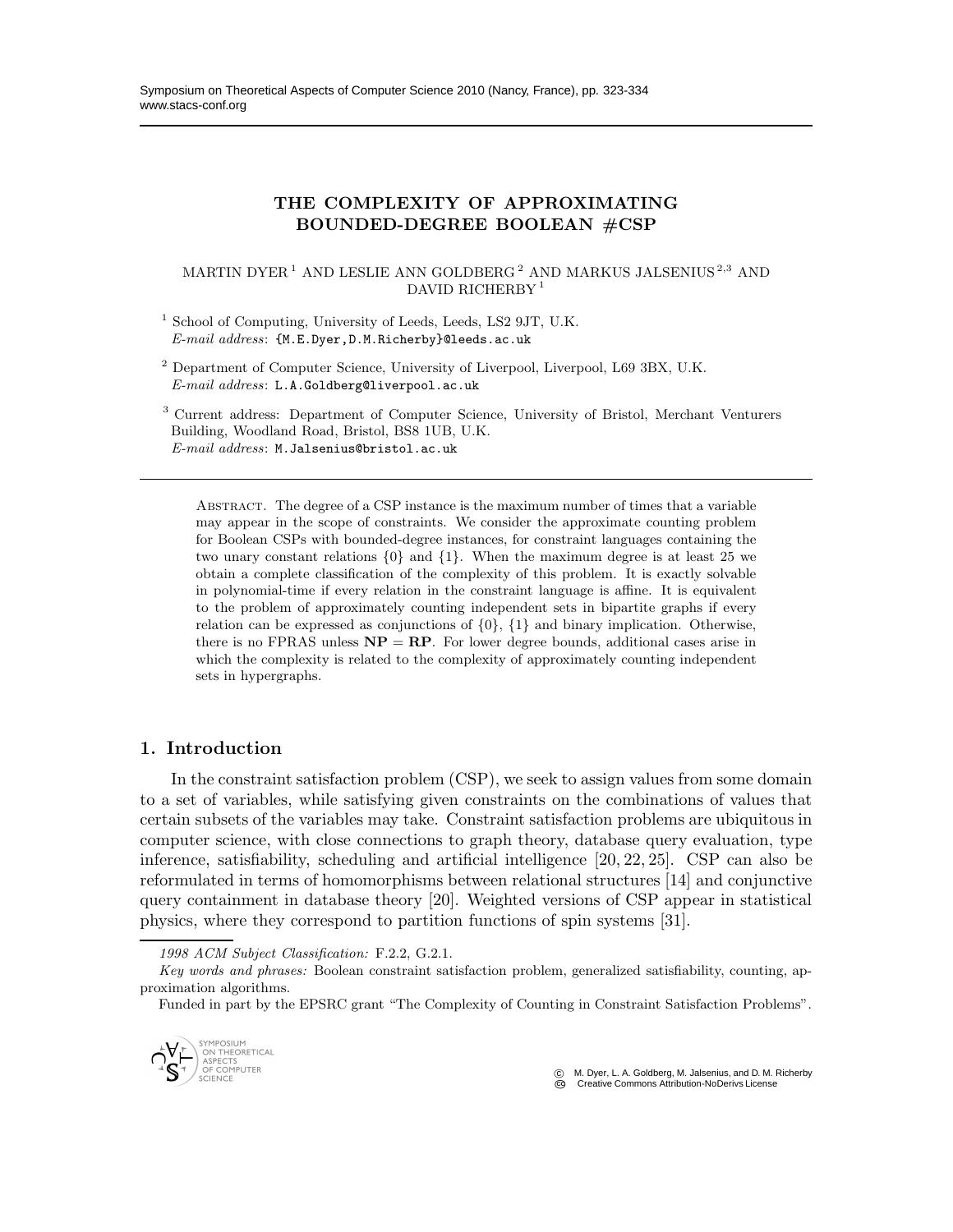# THE COMPLEXITY OF APPROXIMATING BOUNDED-DEGREE BOOLEAN #CSP

#### MARTIN DYER<sup>1</sup> AND LESLIE ANN GOLDBERG<sup>2</sup> AND MARKUS JALSENIUS<sup>2,3</sup> AND DAVID RICHERBY<sup>1</sup>

<sup>1</sup> School of Computing, University of Leeds, Leeds, LS2 9JT, U.K. *E-mail address*: {M.E.Dyer,D.M.Richerby}@leeds.ac.uk

<sup>2</sup> Department of Computer Science, University of Liverpool, Liverpool, L69 3BX, U.K. *E-mail address*: L.A.Goldberg@liverpool.ac.uk

<sup>3</sup> Current address: Department of Computer Science, University of Bristol, Merchant Venturers Building, Woodland Road, Bristol, BS8 1UB, U.K. *E-mail address*: M.Jalsenius@bristol.ac.uk

Abstract. The degree of a CSP instance is the maximum number of times that a variable may appear in the scope of constraints. We consider the approximate counting problem for Boolean CSPs with bounded-degree instances, for constraint languages containing the two unary constant relations {0} and {1}. When the maximum degree is at least 25 we obtain a complete classification of the complexity of this problem. It is exactly solvable in polynomial-time if every relation in the constraint language is affine. It is equivalent to the problem of approximately counting independent sets in bipartite graphs if every relation can be expressed as conjunctions of  $\{0\}$ ,  $\{1\}$  and binary implication. Otherwise, there is no FPRAS unless  $NP = RP$ . For lower degree bounds, additional cases arise in which the complexity is related to the complexity of approximately counting independent sets in hypergraphs.

# 1. Introduction

In the constraint satisfaction problem (CSP), we seek to assign values from some domain to a set of variables, while satisfying given constraints on the combinations of values that certain subsets of the variables may take. Constraint satisfaction problems are ubiquitous in computer science, with close connections to graph theory, database query evaluation, type inference, satisfiability, scheduling and artificial intelligence [20, 22, 25]. CSP can also be reformulated in terms of homomorphisms between relational structures [14] and conjunctive query containment in database theory [20]. Weighted versions of CSP appear in statistical physics, where they correspond to partition functions of spin systems [31].

*1998 ACM Subject Classification:* F.2.2, G.2.1.

Funded in part by the EPSRC grant "The Complexity of Counting in Constraint Satisfaction Problems".



 c M. Dyer, L. A. Goldberg, M. Jalsenius, and D. M. Richerby C<sub>O</sub> Creative Commons Attribution-NoDerivs License

*Key words and phrases:* Boolean constraint satisfaction problem, generalized satisfiability, counting, approximation algorithms.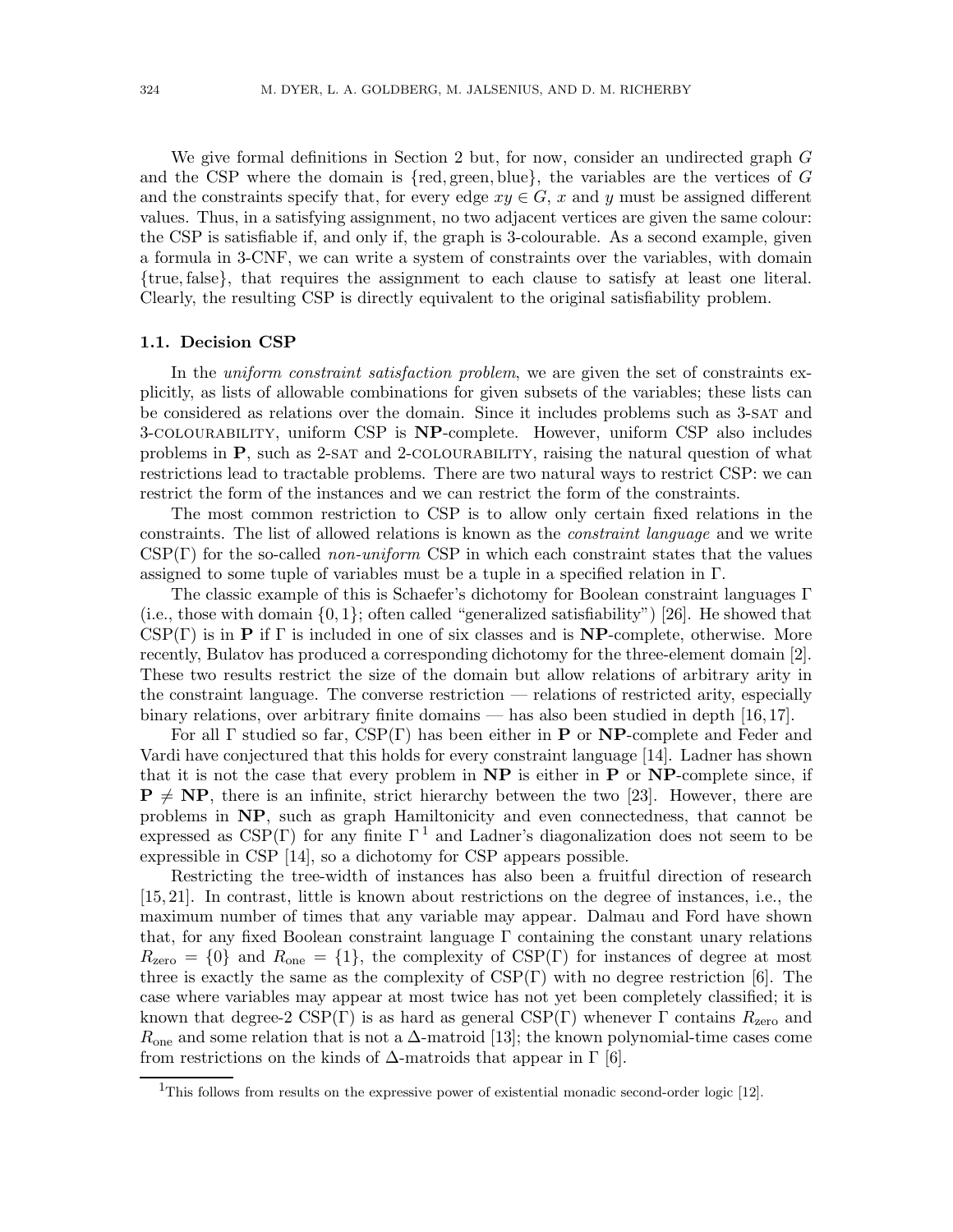We give formal definitions in Section 2 but, for now, consider an undirected graph G and the CSP where the domain is  ${red, green, blue},$  the variables are the vertices of G and the constraints specify that, for every edge  $xy \in G$ , x and y must be assigned different values. Thus, in a satisfying assignment, no two adjacent vertices are given the same colour: the CSP is satisfiable if, and only if, the graph is 3-colourable. As a second example, given a formula in 3-CNF, we can write a system of constraints over the variables, with domain {true, false}, that requires the assignment to each clause to satisfy at least one literal. Clearly, the resulting CSP is directly equivalent to the original satisfiability problem.

#### 1.1. Decision CSP

In the *uniform constraint satisfaction problem*, we are given the set of constraints explicitly, as lists of allowable combinations for given subsets of the variables; these lists can be considered as relations over the domain. Since it includes problems such as 3-sat and 3-COLOURABILITY, uniform CSP is **NP**-complete. However, uniform CSP also includes problems in  $P$ , such as 2-SAT and 2-COLOURABILITY, raising the natural question of what restrictions lead to tractable problems. There are two natural ways to restrict CSP: we can restrict the form of the instances and we can restrict the form of the constraints.

The most common restriction to CSP is to allow only certain fixed relations in the constraints. The list of allowed relations is known as the constraint language and we write  $CSP(\Gamma)$  for the so-called non-uniform CSP in which each constraint states that the values assigned to some tuple of variables must be a tuple in a specified relation in Γ.

The classic example of this is Schaefer's dichotomy for Boolean constraint languages Γ (i.e., those with domain  $\{0, 1\}$ ; often called "generalized satisfiability") [26]. He showed that  $CSP(\Gamma)$  is in **P** if  $\Gamma$  is included in one of six classes and is **NP**-complete, otherwise. More recently, Bulatov has produced a corresponding dichotomy for the three-element domain [2]. These two results restrict the size of the domain but allow relations of arbitrary arity in the constraint language. The converse restriction — relations of restricted arity, especially binary relations, over arbitrary finite domains — has also been studied in depth [16, 17].

For all  $\Gamma$  studied so far,  $CSP(\Gamma)$  has been either in **P** or **NP**-complete and Feder and Vardi have conjectured that this holds for every constraint language [14]. Ladner has shown that it is not the case that every problem in  $NP$  is either in P or  $NP$ -complete since, if  $P \neq NP$ , there is an infinite, strict hierarchy between the two [23]. However, there are problems in NP, such as graph Hamiltonicity and even connectedness, that cannot be expressed as  $CSP(\Gamma)$  for any finite  $\Gamma^1$  and Ladner's diagonalization does not seem to be expressible in CSP [14], so a dichotomy for CSP appears possible.

Restricting the tree-width of instances has also been a fruitful direction of research [15, 21]. In contrast, little is known about restrictions on the degree of instances, i.e., the maximum number of times that any variable may appear. Dalmau and Ford have shown that, for any fixed Boolean constraint language Γ containing the constant unary relations  $R_{\text{zero}} = \{0\}$  and  $R_{\text{one}} = \{1\}$ , the complexity of CSP(Γ) for instances of degree at most three is exactly the same as the complexity of  $CSP(\Gamma)$  with no degree restriction [6]. The case where variables may appear at most twice has not yet been completely classified; it is known that degree-2 CSP(Γ) is as hard as general CSP(Γ) whenever Γ contains  $R_{\text{zero}}$  and  $R_{one}$  and some relation that is not a  $\Delta$ -matroid [13]; the known polynomial-time cases come from restrictions on the kinds of  $\Delta$ -matroids that appear in  $\Gamma$  [6].

<sup>&</sup>lt;sup>1</sup>This follows from results on the expressive power of existential monadic second-order logic [12].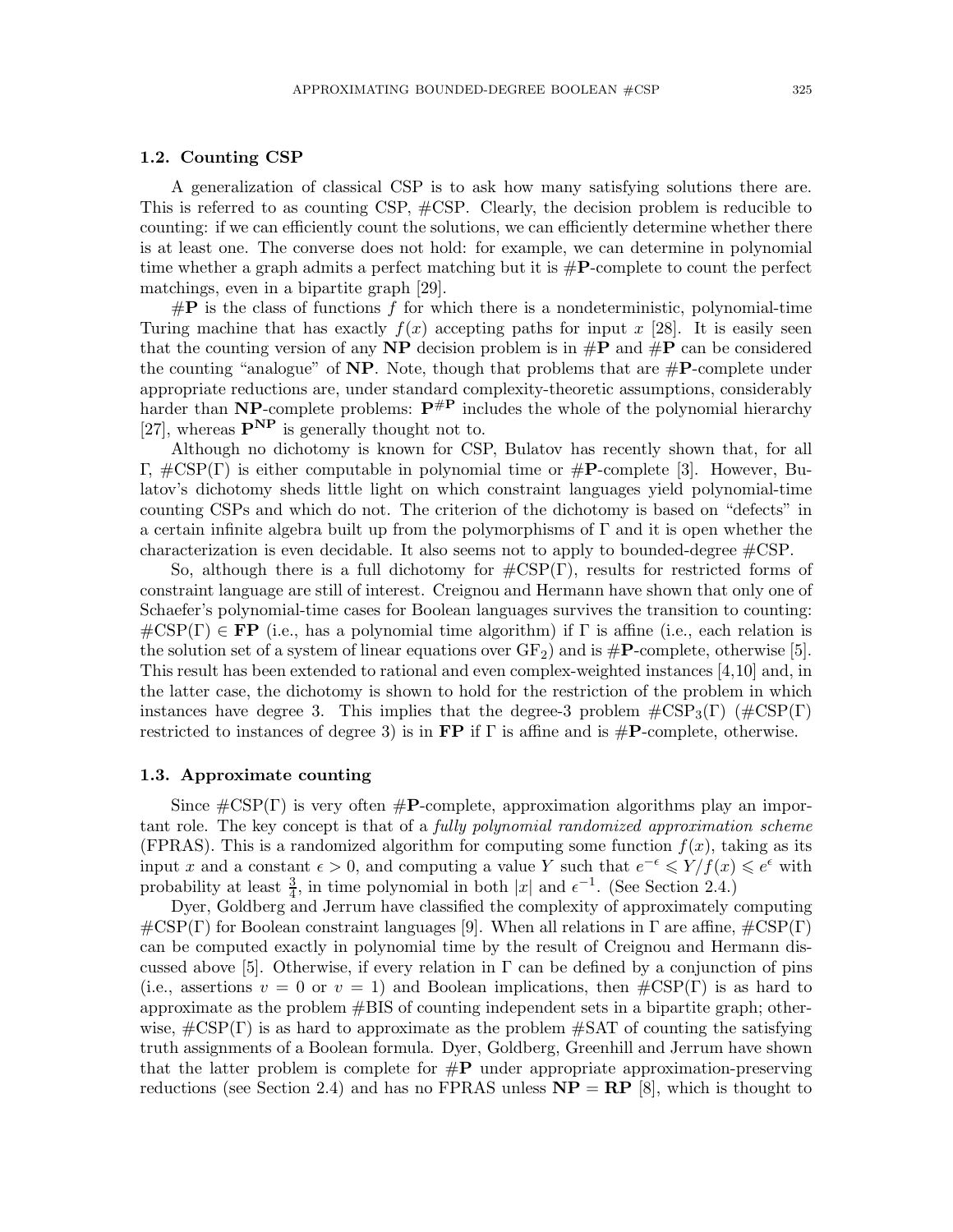#### 1.2. Counting CSP

A generalization of classical CSP is to ask how many satisfying solutions there are. This is referred to as counting CSP, #CSP. Clearly, the decision problem is reducible to counting: if we can efficiently count the solutions, we can efficiently determine whether there is at least one. The converse does not hold: for example, we can determine in polynomial time whether a graph admits a perfect matching but it is  $\#\mathbf{P}$ -complete to count the perfect matchings, even in a bipartite graph [29].

 $\#P$  is the class of functions f for which there is a nondeterministic, polynomial-time Turing machine that has exactly  $f(x)$  accepting paths for input x [28]. It is easily seen that the counting version of any  $\bf NP$  decision problem is in  $\bf \#P$  and  $\bf \#P$  can be considered the counting "analogue" of  $NP$ . Note, though that problems that are  $\#P$ -complete under appropriate reductions are, under standard complexity-theoretic assumptions, considerably harder than NP-complete problems:  $P^{\#P}$  includes the whole of the polynomial hierarchy [27], whereas  $\mathbf{P}^{\mathbf{NP}}$  is generally thought not to.

Although no dichotomy is known for CSP, Bulatov has recently shown that, for all Γ, #CSP(Γ) is either computable in polynomial time or #P-complete [3]. However, Bulatov's dichotomy sheds little light on which constraint languages yield polynomial-time counting CSPs and which do not. The criterion of the dichotomy is based on "defects" in a certain infinite algebra built up from the polymorphisms of  $\Gamma$  and it is open whether the characterization is even decidable. It also seems not to apply to bounded-degree #CSP.

So, although there is a full dichotomy for  $\#\text{CSP}(\Gamma)$ , results for restricted forms of constraint language are still of interest. Creignou and Hermann have shown that only one of Schaefer's polynomial-time cases for Boolean languages survives the transition to counting:  $\#\text{CSP}(\Gamma) \in \mathbf{FP}$  (i.e., has a polynomial time algorithm) if  $\Gamma$  is affine (i.e., each relation is the solution set of a system of linear equations over  $GF_2$ ) and is  $\#P$ -complete, otherwise [5]. This result has been extended to rational and even complex-weighted instances [4,10] and, in the latter case, the dichotomy is shown to hold for the restriction of the problem in which instances have degree 3. This implies that the degree-3 problem  $\#\text{CSP}_3(\Gamma)$  ( $\#\text{CSP}(\Gamma)$ ) restricted to instances of degree 3) is in FP if  $\Gamma$  is affine and is  $\#P$ -complete, otherwise.

#### 1.3. Approximate counting

Since  $\#\text{CSP}(\Gamma)$  is very often  $\#\textbf{P-complete}$ , approximation algorithms play an important role. The key concept is that of a *fully polynomial randomized approximation scheme* (FPRAS). This is a randomized algorithm for computing some function  $f(x)$ , taking as its input x and a constant  $\epsilon > 0$ , and computing a value Y such that  $e^{-\epsilon} \leqslant Y/f(x) \leqslant e^{\epsilon}$  with probability at least  $\frac{3}{4}$ , in time polynomial in both |x| and  $\epsilon^{-1}$ . (See Section 2.4.)

Dyer, Goldberg and Jerrum have classified the complexity of approximately computing  $\#\text{CSP}(\Gamma)$  for Boolean constraint languages [9]. When all relations in  $\Gamma$  are affine,  $\#\text{CSP}(\Gamma)$ can be computed exactly in polynomial time by the result of Creignou and Hermann discussed above [5]. Otherwise, if every relation in  $\Gamma$  can be defined by a conjunction of pins (i.e., assertions  $v = 0$  or  $v = 1$ ) and Boolean implications, then  $\#\text{CSP}(\Gamma)$  is as hard to approximate as the problem #BIS of counting independent sets in a bipartite graph; otherwise,  $\#\text{CSP}(\Gamma)$  is as hard to approximate as the problem  $\#\text{SAT}$  of counting the satisfying truth assignments of a Boolean formula. Dyer, Goldberg, Greenhill and Jerrum have shown that the latter problem is complete for  $\#\mathbf{P}$  under appropriate approximation-preserving reductions (see Section 2.4) and has no FPRAS unless  $NP = RP$  [8], which is thought to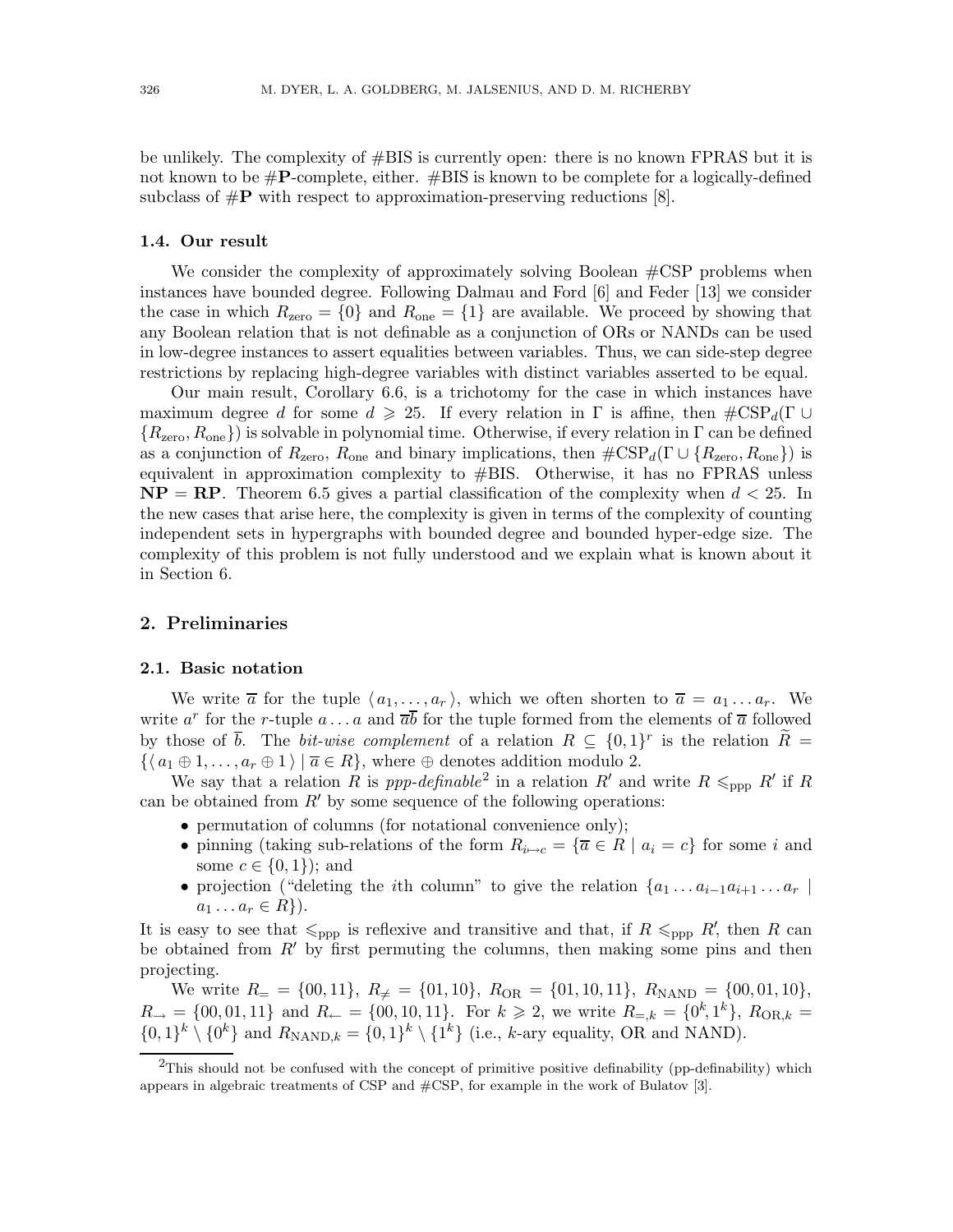be unlikely. The complexity of  $\#BIS$  is currently open: there is no known FPRAS but it is not known to be  $\#P$ -complete, either.  $\#BIS$  is known to be complete for a logically-defined subclass of  $\#P$  with respect to approximation-preserving reductions [8].

#### 1.4. Our result

We consider the complexity of approximately solving Boolean  $\#\text{CSP}$  problems when instances have bounded degree. Following Dalmau and Ford [6] and Feder [13] we consider the case in which  $R_{\text{zero}} = \{0\}$  and  $R_{\text{one}} = \{1\}$  are available. We proceed by showing that any Boolean relation that is not definable as a conjunction of ORs or NANDs can be used in low-degree instances to assert equalities between variables. Thus, we can side-step degree restrictions by replacing high-degree variables with distinct variables asserted to be equal.

Our main result, Corollary 6.6, is a trichotomy for the case in which instances have maximum degree d for some  $d \geq 25$ . If every relation in  $\Gamma$  is affine, then  $\#\text{CSP}_d(\Gamma \cup$  ${R_{\text{zero}}, R_{\text{one}}}$ ) is solvable in polynomial time. Otherwise, if every relation in Γ can be defined as a conjunction of  $R_{\text{zero}}$ ,  $R_{\text{one}}$  and binary implications, then  $\#\text{CSP}_d(\Gamma \cup \{R_{\text{zero}}, R_{\text{one}}\})$  is equivalent in approximation complexity to #BIS. Otherwise, it has no FPRAS unless  $NP = RP$ . Theorem 6.5 gives a partial classification of the complexity when  $d < 25$ . In the new cases that arise here, the complexity is given in terms of the complexity of counting independent sets in hypergraphs with bounded degree and bounded hyper-edge size. The complexity of this problem is not fully understood and we explain what is known about it in Section 6.

# 2. Preliminaries

#### 2.1. Basic notation

We write  $\overline{a}$  for the tuple  $\langle a_1, \ldots, a_r \rangle$ , which we often shorten to  $\overline{a} = a_1 \ldots a_r$ . We write  $a^r$  for the r-tuple  $a \dots a$  and  $\overline{ab}$  for the tuple formed from the elements of  $\overline{a}$  followed by those of  $\bar{b}$ . The *bit-wise complement* of a relation  $R \subseteq \{0,1\}^r$  is the relation  $\widetilde{R} =$  $\{\langle a_1 \oplus 1, \ldots, a_r \oplus 1 \rangle \mid \overline{a} \in R\}$ , where  $\oplus$  denotes addition modulo 2.

We say that a relation R is ppp-definable<sup>2</sup> in a relation R' and write  $R \leq_{\text{ppp}} R'$  if R can be obtained from  $R'$  by some sequence of the following operations:

- permutation of columns (for notational convenience only);
- pinning (taking sub-relations of the form  $R_{i\rightarrow c} = {\overline{a} \in R \mid a_i = c}$  for some i and some  $c \in \{0, 1\}$ ; and
- projection ("deleting the *i*th column" to give the relation  $\{a_1 \ldots a_{i-1} a_{i+1} \ldots a_r \mid$  $a_1 \ldots a_r \in R$ .

It is easy to see that  $\leq_{\text{ppp}}$  is reflexive and transitive and that, if  $R \leq_{\text{ppp}} R'$ , then R can be obtained from  $R'$  by first permuting the columns, then making some pins and then projecting.

We write  $R_{\rm =} = \{00, 11\}, R_{\rm \neq} = \{01, 10\}, R_{\rm OR} = \{01, 10, 11\}, R_{\rm NAND} = \{00, 01, 10\},$  $R_{\rightarrow} = \{00, 01, 11\}$  and  $R_{\leftarrow} = \{00, 10, 11\}$ . For  $k \geq 2$ , we write  $R_{=,k} = \{0^k, 1^k\}$ ,  $R_{OR,k} =$  $\{0,1\}^k \setminus \{0^k\}$  and  $R_{\text{NAND},k} = \{0,1\}^k \setminus \{1^k\}$  (i.e., k-ary equality, OR and NAND).

 $^{2}$ This should not be confused with the concept of primitive positive definability (pp-definability) which appears in algebraic treatments of CSP and #CSP, for example in the work of Bulatov [3].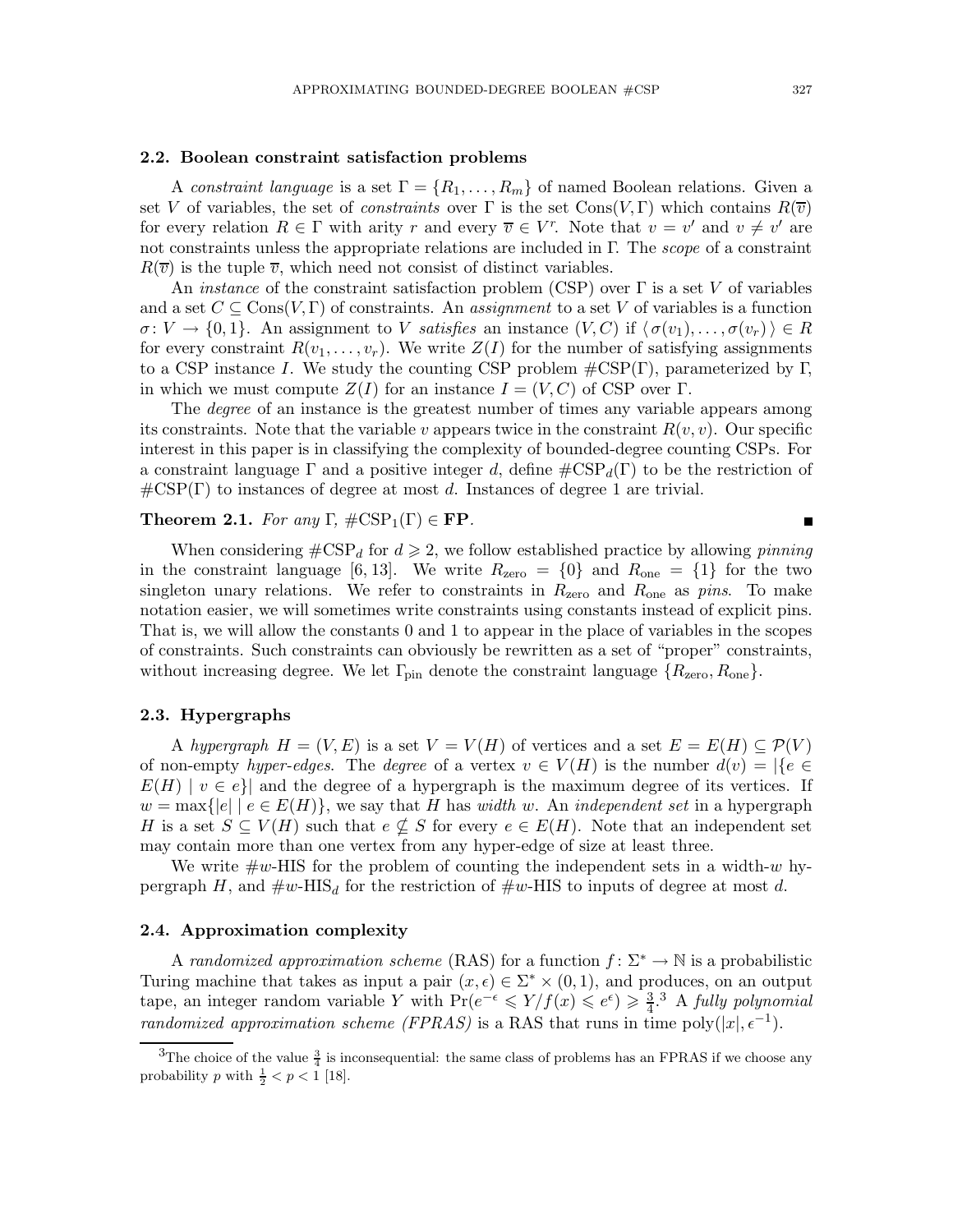#### 2.2. Boolean constraint satisfaction problems

A constraint language is a set  $\Gamma = \{R_1, \ldots, R_m\}$  of named Boolean relations. Given a set V of variables, the set of *constraints* over  $\Gamma$  is the set Cons $(V, \Gamma)$  which contains  $R(\overline{v})$ for every relation  $R \in \Gamma$  with arity r and every  $\overline{v} \in V^r$ . Note that  $v = v'$  and  $v \neq v'$  are not constraints unless the appropriate relations are included in Γ. The scope of a constraint  $R(\overline{v})$  is the tuple  $\overline{v}$ , which need not consist of distinct variables.

An *instance* of the constraint satisfaction problem (CSP) over  $\Gamma$  is a set V of variables and a set  $C \subseteq \text{Cons}(V, \Gamma)$  of constraints. An *assignment* to a set V of variables is a function  $\sigma: V \to \{0,1\}$ . An assignment to V satisfies an instance  $(V, C)$  if  $\langle \sigma(v_1), \ldots, \sigma(v_r) \rangle \in R$ for every constraint  $R(v_1, \ldots, v_r)$ . We write  $Z(I)$  for the number of satisfying assignments to a CSP instance I. We study the counting CSP problem  $\#\text{CSP}(\Gamma)$ , parameterized by Γ, in which we must compute  $Z(I)$  for an instance  $I = (V, C)$  of CSP over Γ.

The *degree* of an instance is the greatest number of times any variable appears among its constraints. Note that the variable v appears twice in the constraint  $R(v, v)$ . Our specific interest in this paper is in classifying the complexity of bounded-degree counting CSPs. For a constraint language  $\Gamma$  and a positive integer d, define  $\#\text{CSP}_d(\Gamma)$  to be the restriction of  $\#\text{CSP}(\Gamma)$  to instances of degree at most d. Instances of degree 1 are trivial.

#### **Theorem 2.1.** For any  $\Gamma$ ,  $\#\text{CSP}_1(\Gamma) \in \text{FP}$ .

When considering  $\#\text{CSP}_d$  for  $d \geq 2$ , we follow established practice by allowing *pinning* in the constraint language [6, 13]. We write  $R_{\text{zero}} = \{0\}$  and  $R_{\text{one}} = \{1\}$  for the two singleton unary relations. We refer to constraints in  $R_{\text{zero}}$  and  $R_{\text{one}}$  as pins. To make notation easier, we will sometimes write constraints using constants instead of explicit pins. That is, we will allow the constants 0 and 1 to appear in the place of variables in the scopes of constraints. Such constraints can obviously be rewritten as a set of "proper" constraints, without increasing degree. We let  $\Gamma_{\text{pin}}$  denote the constraint language  $\{R_{\text{zero}}, R_{\text{one}}\}$ .

#### 2.3. Hypergraphs

A hypergraph  $H = (V, E)$  is a set  $V = V(H)$  of vertices and a set  $E = E(H) \subseteq \mathcal{P}(V)$ of non-empty hyper-edges. The degree of a vertex  $v \in V(H)$  is the number  $d(v) = |\{e \in$  $E(H) \mid v \in e$  and the degree of a hypergraph is the maximum degree of its vertices. If  $w = \max\{|e| \mid e \in E(H)\}\$ , we say that H has *width* w. An *independent set* in a hypergraph H is a set  $S \subseteq V(H)$  such that  $e \nsubseteq S$  for every  $e \in E(H)$ . Note that an independent set may contain more than one vertex from any hyper-edge of size at least three.

We write  $\#\omega$ -HIS for the problem of counting the independent sets in a width- $\omega$  hypergraph H, and  $\#w$ -HIS<sub>d</sub> for the restriction of  $\#w$ -HIS to inputs of degree at most d.

#### 2.4. Approximation complexity

A randomized approximation scheme (RAS) for a function  $f: \Sigma^* \to \mathbb{N}$  is a probabilistic Turing machine that takes as input a pair  $(x, \epsilon) \in \Sigma^* \times (0, 1)$ , and produces, on an output tape, an integer random variable Y with  $Pr(e^{-\epsilon} \leq Y/f(x) \leq e^{\epsilon}) \geq \frac{3}{4}$ .<sup>3</sup> A *fully polynomial* randomized approximation scheme (FPRAS) is a RAS that runs in time poly $(|x|, \epsilon^{-1})$ .

 $\blacksquare$ 

<sup>&</sup>lt;sup>3</sup>The choice of the value  $\frac{3}{4}$  is inconsequential: the same class of problems has an FPRAS if we choose any probability p with  $\frac{1}{2} < p < 1$  [18].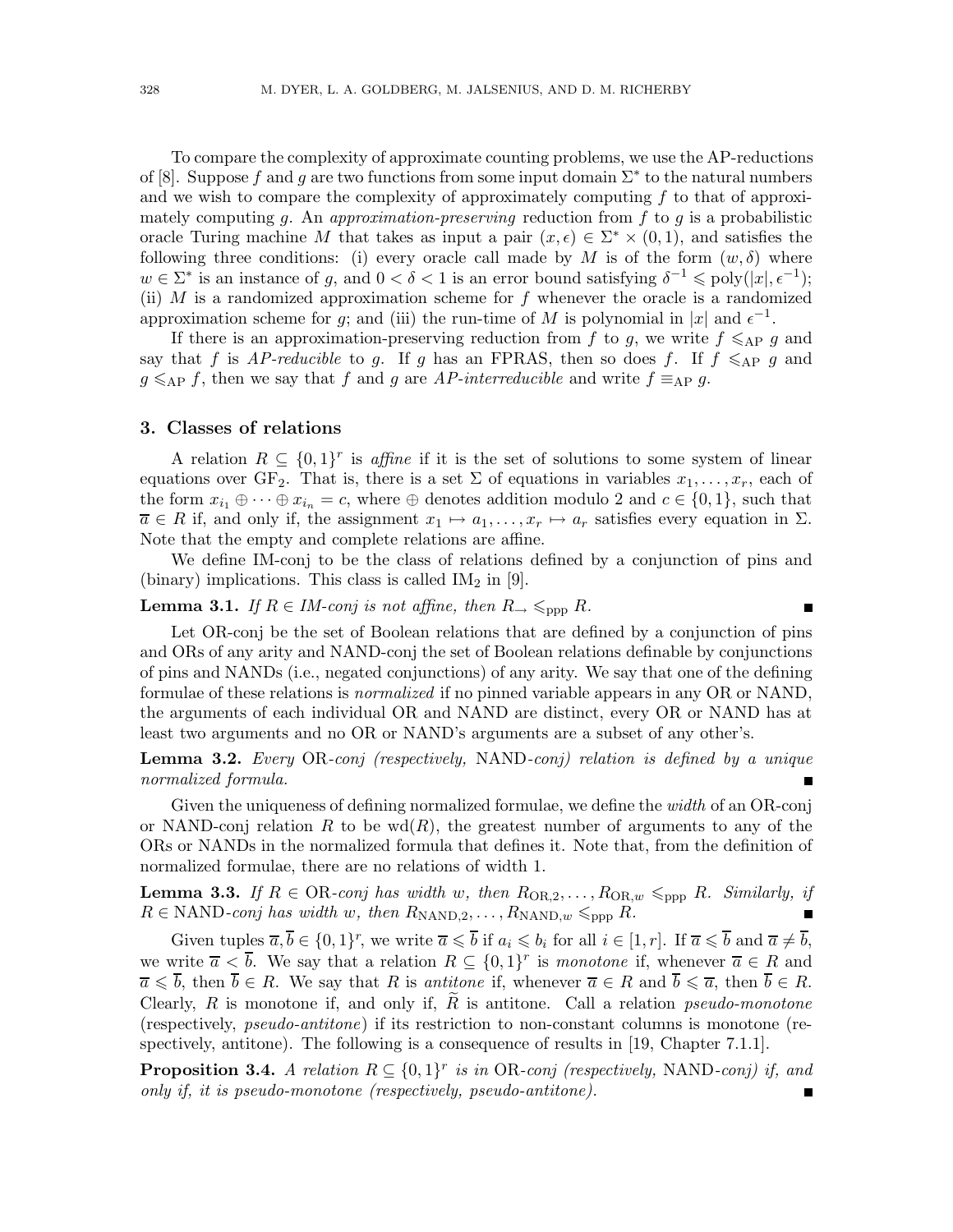To compare the complexity of approximate counting problems, we use the AP-reductions of [8]. Suppose f and g are two functions from some input domain  $\Sigma^*$  to the natural numbers and we wish to compare the complexity of approximately computing  $f$  to that of approximately computing q. An approximation-preserving reduction from f to q is a probabilistic oracle Turing machine M that takes as input a pair  $(x, \epsilon) \in \Sigma^* \times (0, 1)$ , and satisfies the following three conditions: (i) every oracle call made by M is of the form  $(w, \delta)$  where  $w \in \Sigma^*$  is an instance of g, and  $0 < \delta < 1$  is an error bound satisfying  $\delta^{-1} \leq \text{poly}(|x|, \epsilon^{-1});$ (ii)  $M$  is a randomized approximation scheme for  $f$  whenever the oracle is a randomized approximation scheme for g; and (iii) the run-time of M is polynomial in |x| and  $\epsilon^{-1}$ .

If there is an approximation-preserving reduction from f to g, we write  $f \leq_{AP} g$  and say that f is AP-reducible to g. If g has an FPRAS, then so does f. If  $f \leq_{AP} g$  and  $g \leq_{AP} f$ , then we say that f and g are AP-interreducible and write  $f \equiv_{AP} g$ .

#### 3. Classes of relations

A relation  $R \subseteq \{0,1\}^r$  is affine if it is the set of solutions to some system of linear equations over GF<sub>2</sub>. That is, there is a set  $\Sigma$  of equations in variables  $x_1, \ldots, x_r$ , each of the form  $x_{i_1} \oplus \cdots \oplus x_{i_n} = c$ , where  $\oplus$  denotes addition modulo 2 and  $c \in \{0,1\}$ , such that  $\overline{a} \in R$  if, and only if, the assignment  $x_1 \mapsto a_1, \ldots, x_r \mapsto a_r$  satisfies every equation in  $\Sigma$ . Note that the empty and complete relations are affine.

We define IM-conj to be the class of relations defined by a conjunction of pins and (binary) implications. This class is called  $IM<sub>2</sub>$  in [9].

 $\blacksquare$ 

### **Lemma 3.1.** If  $R \in IM$ -conj is not affine, then  $R \to \leq_{\text{opp}} R$ .

Let OR-conj be the set of Boolean relations that are defined by a conjunction of pins and ORs of any arity and NAND-conj the set of Boolean relations definable by conjunctions of pins and NANDs (i.e., negated conjunctions) of any arity. We say that one of the defining formulae of these relations is normalized if no pinned variable appears in any OR or NAND, the arguments of each individual OR and NAND are distinct, every OR or NAND has at least two arguments and no OR or NAND's arguments are a subset of any other's.

# **Lemma 3.2.** Every OR-conj (respectively, NAND-conj) relation is defined by a unique normalized formula.

Given the uniqueness of defining normalized formulae, we define the width of an OR-conj or NAND-conj relation R to be  $\text{wd}(R)$ , the greatest number of arguments to any of the ORs or NANDs in the normalized formula that defines it. Note that, from the definition of normalized formulae, there are no relations of width 1.

**Lemma 3.3.** If  $R \in OR$ -conj has width w, then  $R_{OR,2}, \ldots, R_{OR,w} \leq_{ppp} R$ . Similarly, if  $R \in \text{NAND-conj}$  has width w, then  $R_{\text{NAND},2}, \ldots, R_{\text{NAND},w} \leq_{\text{ppp}} R$ .  $\blacksquare$ 

Given tuples  $\overline{a}, \overline{b} \in \{0,1\}^r$ , we write  $\overline{a} \leqslant \overline{b}$  if  $a_i \leqslant b_i$  for all  $i \in [1, r]$ . If  $\overline{a} \leqslant \overline{b}$  and  $\overline{a} \neq \overline{b}$ , we write  $\overline{a} < \overline{b}$ . We say that a relation  $R \subseteq \{0,1\}^r$  is monotone if, whenever  $\overline{a} \in R$  and  $\overline{a} \leq \overline{b}$ , then  $\overline{b} \in R$ . We say that R is *antitone* if, whenever  $\overline{a} \in R$  and  $\overline{b} \leq \overline{a}$ , then  $\overline{b} \in R$ . Clearly, R is monotone if, and only if, R is antitone. Call a relation *pseudo-monotone* (respectively, pseudo-antitone) if its restriction to non-constant columns is monotone (respectively, antitone). The following is a consequence of results in [19, Chapter 7.1.1].

**Proposition 3.4.** A relation  $R \subseteq \{0,1\}^r$  is in OR-conj (respectively, NAND-conj) if, and only if, it is pseudo-monotone (respectively, pseudo-antitone).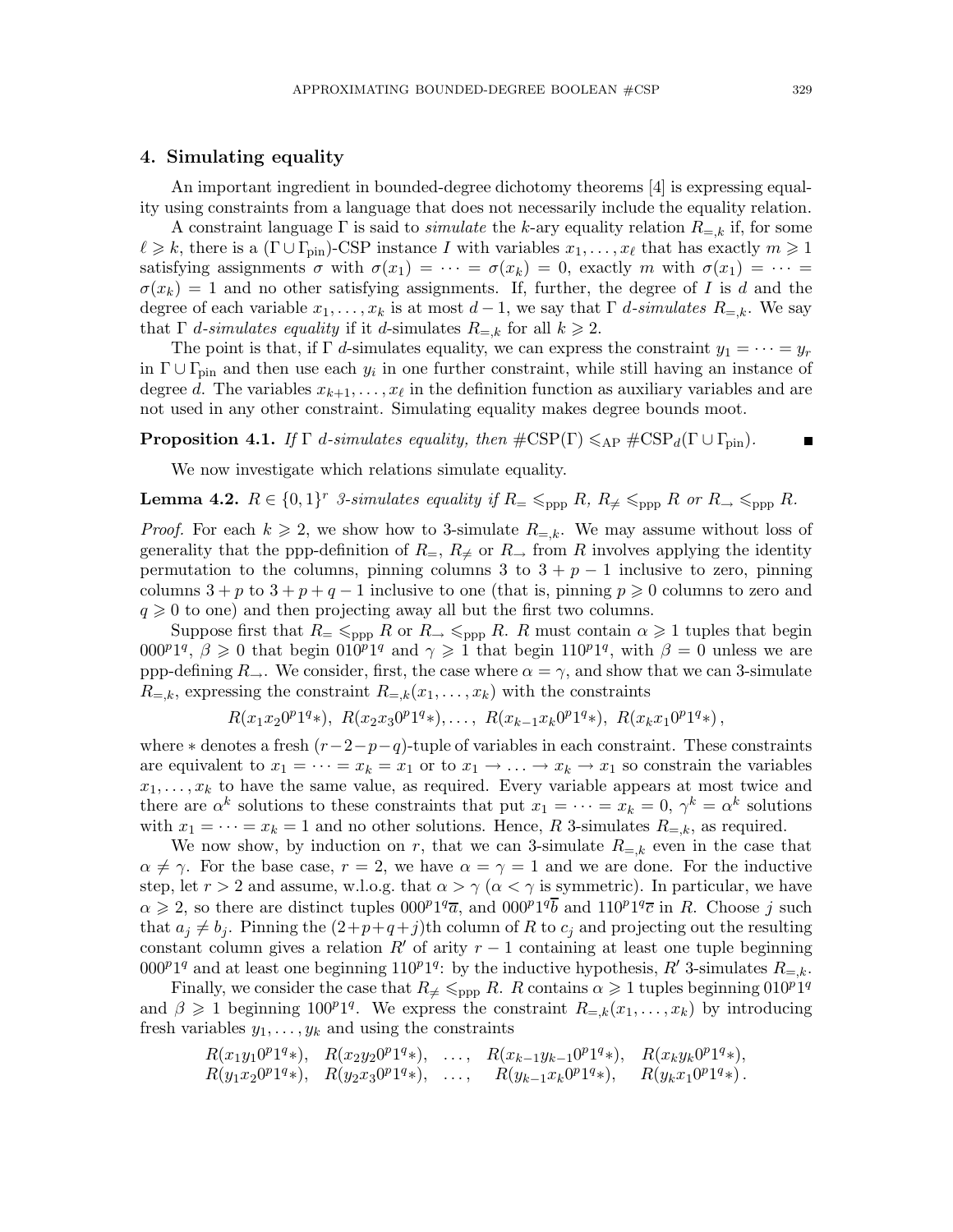#### 4. Simulating equality

An important ingredient in bounded-degree dichotomy theorems [4] is expressing equality using constraints from a language that does not necessarily include the equality relation.

A constraint language  $\Gamma$  is said to *simulate* the k-ary equality relation  $R_{=k}$  if, for some  $\ell \geq k$ , there is a  $(\Gamma \cup \Gamma_{\text{pin}})$ -CSP instance I with variables  $x_1, \ldots, x_\ell$  that has exactly  $m \geq 1$ satisfying assignments  $\sigma$  with  $\sigma(x_1) = \cdots = \sigma(x_k) = 0$ , exactly m with  $\sigma(x_1) = \cdots =$  $\sigma(x_k) = 1$  and no other satisfying assignments. If, further, the degree of I is d and the degree of each variable  $x_1, \ldots, x_k$  is at most  $d-1$ , we say that  $\Gamma$  d-simulates  $R_{=k}$ . We say that  $\Gamma$  *d*-simulates equality if it *d*-simulates  $R_{=k}$  for all  $k \geq 2$ .

The point is that, if  $\Gamma$  d-simulates equality, we can express the constraint  $y_1 = \cdots = y_r$ in  $\Gamma \cup \Gamma_{\text{pin}}$  and then use each  $y_i$  in one further constraint, while still having an instance of degree d. The variables  $x_{k+1}, \ldots, x_{\ell}$  in the definition function as auxiliary variables and are not used in any other constraint. Simulating equality makes degree bounds moot.

**Proposition 4.1.** If  $\Gamma$  d-simulates equality, then  $\#\text{CSP}(\Gamma) \leq_{AP} \#\text{CSP}_d(\Gamma \cup \Gamma_{\text{min}})$ .

$$
\mathcal{L} \subset \mathbf{R}
$$

We now investigate which relations simulate equality.

**Lemma 4.2.**  $R \in \{0,1\}^r$  3-simulates equality if  $R_{\pm} \leqslant_{\text{ppp}} R$ ,  $R_{\neq} \leqslant_{\text{ppp}} R$  or  $R_{\rightarrow} \leqslant_{\text{ppp}} R$ .

*Proof.* For each  $k \geq 2$ , we show how to 3-simulate  $R_{=k}$ . We may assume without loss of generality that the ppp-definition of  $R_$ ,  $R_+$  or  $R_$ , from R involves applying the identity permutation to the columns, pinning columns 3 to  $3 + p - 1$  inclusive to zero, pinning columns  $3 + p$  to  $3 + p + q - 1$  inclusive to one (that is, pinning  $p \ge 0$  columns to zero and  $q \geq 0$  to one) and then projecting away all but the first two columns.

Suppose first that  $R_{=}\leqslant_{\mathrm{ppp}} R$  or  $R_{\rightarrow}\leqslant_{\mathrm{ppp}} R$ . R must contain  $\alpha\geqslant 1$  tuples that begin  $000^p1^q$ ,  $\beta \geq 0$  that begin  $010^p1^q$  and  $\gamma \geq 1$  that begin  $110^p1^q$ , with  $\beta = 0$  unless we are ppp-defining  $R_{\rightarrow}$ . We consider, first, the case where  $\alpha = \gamma$ , and show that we can 3-simulate  $R_{=k}$ , expressing the constraint  $R_{=k}(x_1,\ldots,x_k)$  with the constraints

$$
R(x_1x_20^p1^q*), R(x_2x_30^p1^q*),..., R(x_{k-1}x_k0^p1^q*), R(x_kx_10^p1^q*),
$$

where  $*$  denotes a fresh  $(r-2-p-q)$ -tuple of variables in each constraint. These constraints are equivalent to  $x_1 = \cdots = x_k = x_1$  or to  $x_1 \rightarrow \cdots \rightarrow x_k \rightarrow x_1$  so constrain the variables  $x_1, \ldots, x_k$  to have the same value, as required. Every variable appears at most twice and there are  $\alpha^k$  solutions to these constraints that put  $x_1 = \cdots = x_k = 0$ ,  $\gamma^k = \alpha^k$  solutions with  $x_1 = \cdots = x_k = 1$  and no other solutions. Hence, R 3-simulates  $R_{=k}$ , as required.

We now show, by induction on r, that we can 3-simulate  $R_{=k}$  even in the case that  $\alpha \neq \gamma$ . For the base case,  $r = 2$ , we have  $\alpha = \gamma = 1$  and we are done. For the inductive step, let  $r > 2$  and assume, w.l.o.g. that  $\alpha > \gamma$  ( $\alpha < \gamma$  is symmetric). In particular, we have  $\alpha \geq 2$ , so there are distinct tuples  $0.00^{p}1^{q}\overline{a}$ , and  $0.00^{p}1^{q}\overline{b}$  and  $110^{p}1^{q}\overline{c}$  in R. Choose j such that  $a_j \neq b_j$ . Pinning the  $(2+p+q+j)$ th column of R to  $c_j$  and projecting out the resulting constant column gives a relation R' of arity  $r-1$  containing at least one tuple beginning 000<sup>p</sup>1<sup>q</sup> and at least one beginning 110<sup>p</sup>1<sup>q</sup>: by the inductive hypothesis, R' 3-simulates  $R_{=,k}$ .

Finally, we consider the case that  $R_{\neq} \leq_{\text{ppp}} R$ . R contains  $\alpha \geq 1$  tuples beginning  $010^p1^q$ and  $\beta \geq 1$  beginning  $100^p1^q$ . We express the constraint  $R_{=k}(x_1,\ldots,x_k)$  by introducing fresh variables  $y_1, \ldots, y_k$  and using the constraints

$$
R(x_1y_10^p1^q*)
$$
,  $R(x_2y_20^p1^q*)$ , ...,  $R(x_{k-1}y_{k-1}0^p1^q*)$ ,  $R(x_ky_k0^p1^q*)$ ,  
\n $R(y_1x_20^p1^q*)$ ,  $R(y_2x_30^p1^q*)$ , ...,  $R(y_{k-1}x_k0^p1^q*)$ ,  $R(y_kx_10^p1^q*)$ .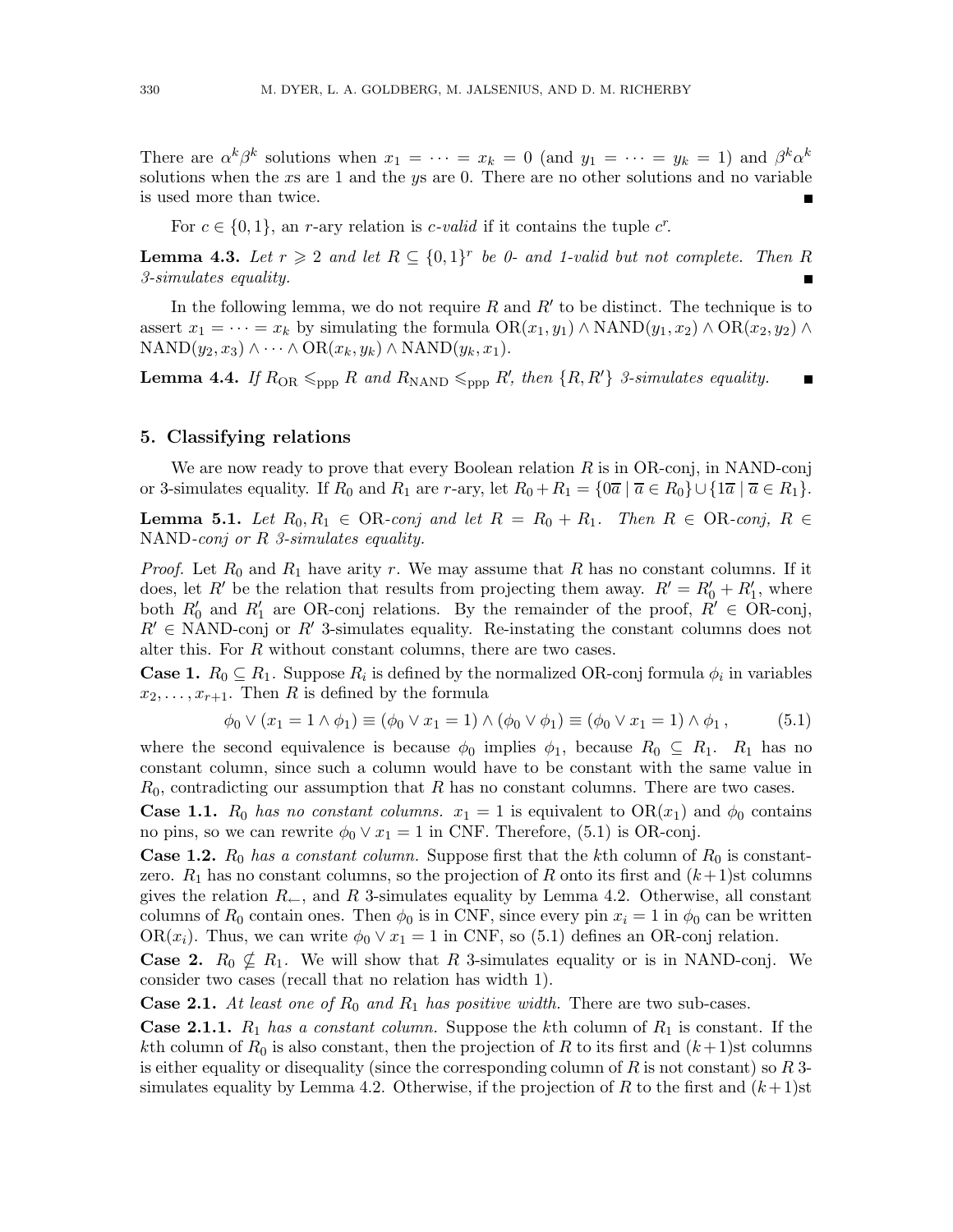There are  $\alpha^k \beta^k$  solutions when  $x_1 = \cdots = x_k = 0$  (and  $y_1 = \cdots = y_k = 1$ ) and  $\beta^k \alpha^k$ solutions when the xs are 1 and the ys are 0. There are no other solutions and no variable is used more than twice. П

For  $c \in \{0, 1\}$ , an r-ary relation is c-valid if it contains the tuple  $c^r$ .

**Lemma 4.3.** Let  $r \geq 2$  and let  $R \subseteq \{0,1\}^r$  be 0- and 1-valid but not complete. Then R 3-simulates equality.

In the following lemma, we do not require  $R$  and  $R'$  to be distinct. The technique is to assert  $x_1 = \cdots = x_k$  by simulating the formula  $OR(x_1, y_1) \wedge NAND(y_1, x_2) \wedge OR(x_2, y_2) \wedge$  $NAND(y_2, x_3) \wedge \cdots \wedge OR(x_k, y_k) \wedge NAND(y_k, x_1).$ 

**Lemma 4.4.** If  $R_{OR} \leq_{opp} R$  and  $R_{NAND} \leq_{ppp} R'$ , then  $\{R, R'\}$  3-simulates equality.  $\blacksquare$ 

#### 5. Classifying relations

We are now ready to prove that every Boolean relation  $R$  is in OR-conj, in NAND-conj or 3-simulates equality. If  $R_0$  and  $R_1$  are r-ary, let  $R_0 + R_1 = \{0\overline{a} \mid \overline{a} \in R_0\} \cup \{\overline{1a} \mid \overline{a} \in R_1\}.$ 

**Lemma 5.1.** Let  $R_0, R_1 \in OR$ -conj and let  $R = R_0 + R_1$ . Then  $R \in OR$ -conj,  $R \in \mathbb{R}$ NAND-conj or R 3-simulates equality.

*Proof.* Let  $R_0$  and  $R_1$  have arity r. We may assume that R has no constant columns. If it does, let R' be the relation that results from projecting them away.  $R' = R'_0 + R'_1$ , where both  $R'_0$  and  $R'_1$  are OR-conj relations. By the remainder of the proof,  $R' \in \overline{OR}$ -conj,  $R' \in \text{NAND-conj}$  or  $R'$  3-simulates equality. Re-instating the constant columns does not alter this. For  $R$  without constant columns, there are two cases.

**Case 1.**  $R_0 \subseteq R_1$ . Suppose  $R_i$  is defined by the normalized OR-conj formula  $\phi_i$  in variables  $x_2, \ldots, x_{r+1}$ . Then R is defined by the formula

$$
\phi_0 \vee (x_1 = 1 \wedge \phi_1) \equiv (\phi_0 \vee x_1 = 1) \wedge (\phi_0 \vee \phi_1) \equiv (\phi_0 \vee x_1 = 1) \wedge \phi_1, \quad (5.1)
$$

where the second equivalence is because  $\phi_0$  implies  $\phi_1$ , because  $R_0 \subseteq R_1$ .  $R_1$  has no constant column, since such a column would have to be constant with the same value in  $R_0$ , contradicting our assumption that R has no constant columns. There are two cases.

**Case 1.1.**  $R_0$  has no constant columns.  $x_1 = 1$  is equivalent to  $OR(x_1)$  and  $\phi_0$  contains no pins, so we can rewrite  $\phi_0 \vee x_1 = 1$  in CNF. Therefore, (5.1) is OR-conj.

**Case 1.2.**  $R_0$  has a constant column. Suppose first that the kth column of  $R_0$  is constantzero.  $R_1$  has no constant columns, so the projection of R onto its first and  $(k+1)$ st columns gives the relation  $R_{\leftarrow}$ , and R 3-simulates equality by Lemma 4.2. Otherwise, all constant columns of  $R_0$  contain ones. Then  $\phi_0$  is in CNF, since every pin  $x_i = 1$  in  $\phi_0$  can be written OR( $x_i$ ). Thus, we can write  $\phi_0 \vee x_1 = 1$  in CNF, so (5.1) defines an OR-conj relation.

**Case 2.**  $R_0 \nsubseteq R_1$ . We will show that R 3-simulates equality or is in NAND-conj. We consider two cases (recall that no relation has width 1).

**Case 2.1.** At least one of  $R_0$  and  $R_1$  has positive width. There are two sub-cases.

**Case 2.1.1.**  $R_1$  has a constant column. Suppose the kth column of  $R_1$  is constant. If the kth column of  $R_0$  is also constant, then the projection of R to its first and  $(k+1)$ st columns is either equality or disequality (since the corresponding column of  $R$  is not constant) so  $R$  3simulates equality by Lemma 4.2. Otherwise, if the projection of R to the first and  $(k+1)$ st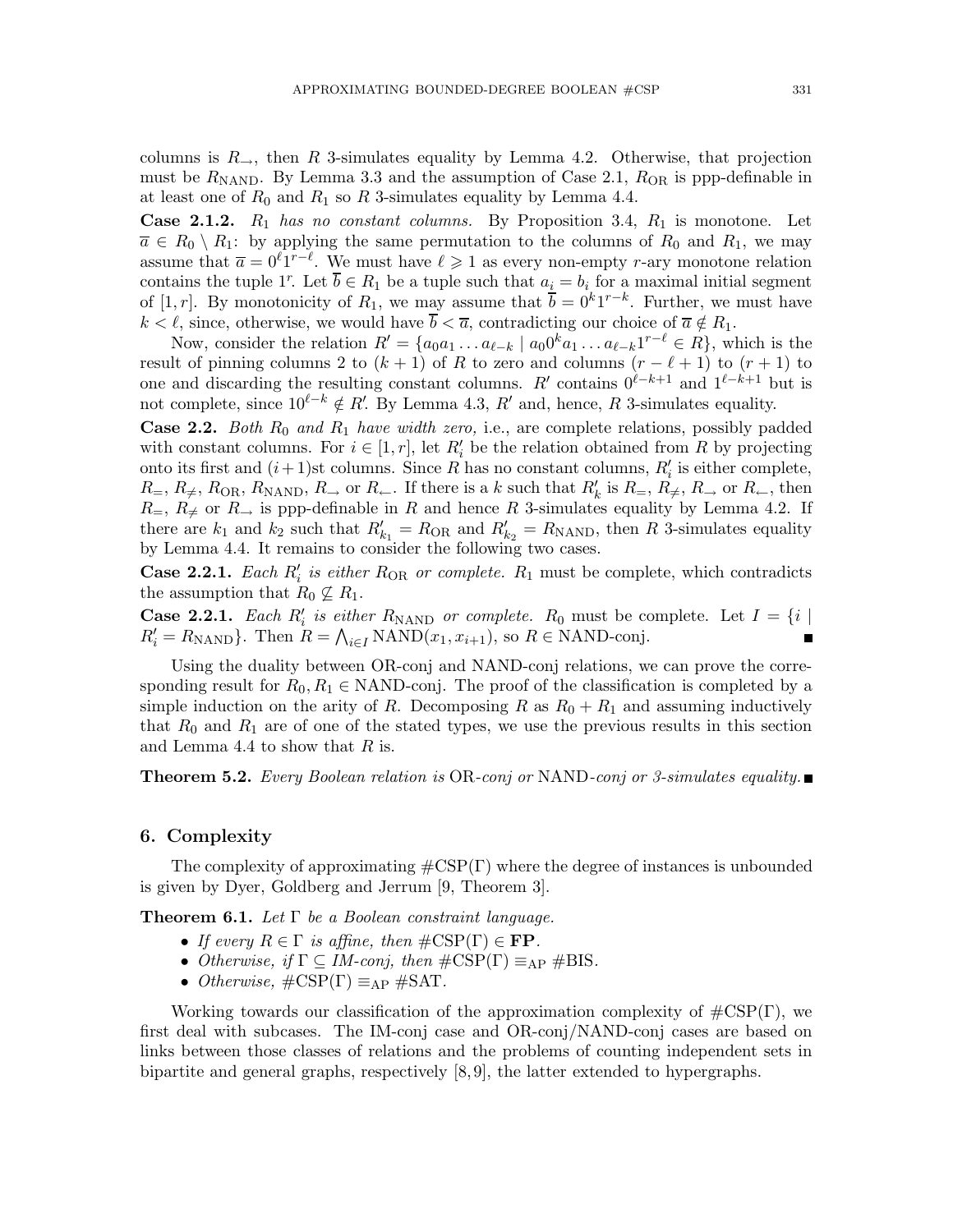columns is  $R_{\rightarrow}$ , then R 3-simulates equality by Lemma 4.2. Otherwise, that projection must be  $R_{\text{NAND}}$ . By Lemma 3.3 and the assumption of Case 2.1,  $R_{\text{OR}}$  is ppp-definable in at least one of  $R_0$  and  $R_1$  so R 3-simulates equality by Lemma 4.4.

**Case 2.1.2.**  $R_1$  has no constant columns. By Proposition 3.4,  $R_1$  is monotone. Let  $\overline{a} \in R_0 \setminus R_1$ : by applying the same permutation to the columns of  $R_0$  and  $R_1$ , we may assume that  $\bar{a} = 0^{\ell}1^{r-\ell}$ . We must have  $\ell \geq 1$  as every non-empty r-ary monotone relation contains the tuple 1<sup>r</sup>. Let  $\overline{b} \in R_1$  be a tuple such that  $a_i = b_i$  for a maximal initial segment of [1, r]. By monotonicity of  $R_1$ , we may assume that  $\overline{b} = 0^k 1^{r-k}$ . Further, we must have  $k < \ell$ , since, otherwise, we would have  $\overline{b} < \overline{a}$ , contradicting our choice of  $\overline{a} \notin R_1$ .

Now, consider the relation  $R' = \{a_0a_1 \ldots a_{\ell-k} \mid a_00^k a_1 \ldots a_{\ell-k}1^{r-\ell} \in R\}$ , which is the result of pinning columns 2 to  $(k + 1)$  of R to zero and columns  $(r - \ell + 1)$  to  $(r + 1)$  to one and discarding the resulting constant columns. R' contains  $0^{\ell-k+1}$  and  $1^{\ell-k+1}$  but is not complete, since  $10^{\ell-k} \notin R'$ . By Lemma 4.3, R' and, hence, R 3-simulates equality.

**Case 2.2.** Both  $R_0$  and  $R_1$  have width zero, i.e., are complete relations, possibly padded with constant columns. For  $i \in [1, r]$ , let  $R'_i$  be the relation obtained from R by projecting onto its first and  $(i+1)$ st columns. Since R has no constant columns,  $R'_i$  is either complete,  $R_$ ,  $R_$ ,  $R_{\text{OR}}$ ,  $R_{\text{NAND}}$ ,  $R_$  or  $R_$ . If there is a k such that  $R'_k$  is  $R_$ ,  $R_$ ,  $R_$ , or  $R_$ , then  $R_$ ,  $R_$  or  $R_$  is ppp-definable in R and hence R 3-simulates equality by Lemma 4.2. If there are  $k_1$  and  $k_2$  such that  $R'_{k_1} = R_{OR}$  and  $R'_{k_2} = R_{NAND}$ , then R 3-simulates equality by Lemma 4.4. It remains to consider the following two cases.

**Case 2.2.1.** Each  $R'_i$  is either  $R_{OR}$  or complete.  $R_1$  must be complete, which contradicts the assumption that  $R_0 \nsubseteq R_1$ .

**Case 2.2.1.** Each  $R'_i$  is either  $R_{\text{NAND}}$  or complete.  $R_0$  must be complete. Let  $I = \{i \mid R_i\}$  $R'_i = R_{\text{NAND}}$ . Then  $R = \bigwedge_{i \in I} \text{NAND}(x_1, x_{i+1}),$  so  $R \in \text{NAND-conj}.$  $\blacksquare$ 

Using the duality between OR-conj and NAND-conj relations, we can prove the corresponding result for  $R_0, R_1 \in \text{NAND-conj}$ . The proof of the classification is completed by a simple induction on the arity of R. Decomposing R as  $R_0 + R_1$  and assuming inductively that  $R_0$  and  $R_1$  are of one of the stated types, we use the previous results in this section and Lemma 4.4 to show that  $R$  is.

**Theorem 5.2.** Every Boolean relation is OR-conj or NAND-conj or 3-simulates equality.

#### 6. Complexity

The complexity of approximating  $\#\text{CSP}(\Gamma)$  where the degree of instances is unbounded is given by Dyer, Goldberg and Jerrum [9, Theorem 3].

Theorem 6.1. Let  $\Gamma$  be a Boolean constraint language.

- If every  $R \in \Gamma$  is affine, then  $\#\text{CSP}(\Gamma) \in \mathbf{FP}$ .
- Otherwise, if  $\Gamma \subseteq IM\text{-}conj$ , then  $\#\text{CSP}(\Gamma) \equiv_{AP} \#\text{BIS}$ .
- Otherwise,  $\#\text{CSP}(\Gamma) \equiv_{AP} \#\text{SAT}$ .

Working towards our classification of the approximation complexity of  $\#\text{CSP}(\Gamma)$ , we first deal with subcases. The IM-conj case and OR-conj/NAND-conj cases are based on links between those classes of relations and the problems of counting independent sets in bipartite and general graphs, respectively [8, 9], the latter extended to hypergraphs.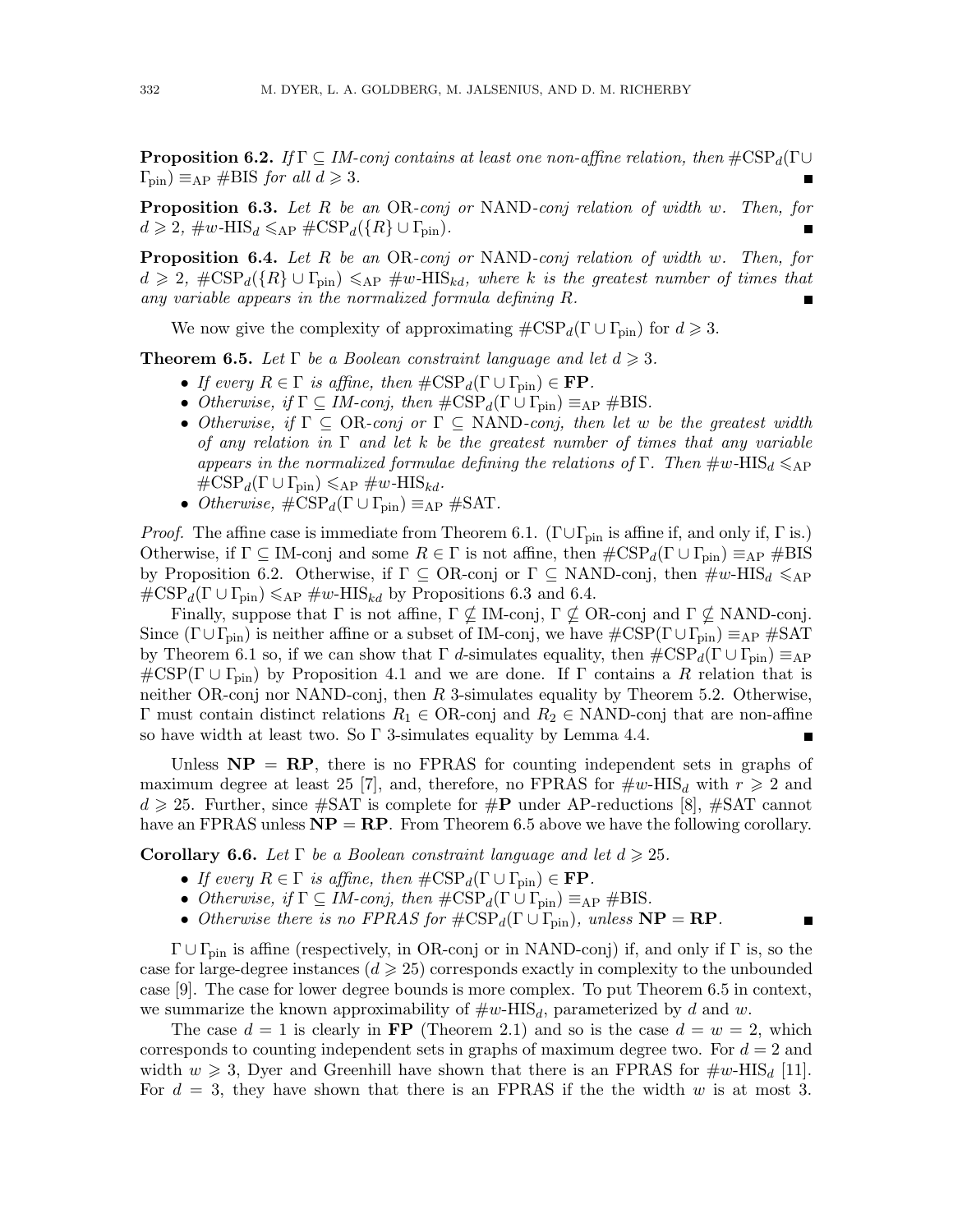**Proposition 6.2.** If  $\Gamma \subseteq IM$ -conj contains at least one non-affine relation, then  $\#\text{CSP}_d(\Gamma \cup$  $\Gamma_{\rm pin}$ )  $\equiv_{\rm AP}$  #BIS for all  $d \geqslant 3$ .

Proposition 6.3. Let R be an OR-conj or NAND-conj relation of width w. Then, for  $d \geqslant 2$ ,  $\#w$ -HIS<sub>d</sub>  $\leqslant$ <sub>AP</sub>  $\#CSP_d(\lbrace R \rbrace \cup \Gamma_{\text{pin}})$ .

**Proposition 6.4.** Let R be an OR-conj or NAND-conj relation of width w. Then, for  $d \geq 2$ ,  $\#\text{CSP}_d({R} \cup \Gamma_{\text{pin}}) \leq \text{AP HIS}_{kd}$ , where k is the greatest number of times that any variable appears in the normalized formula defining R.

We now give the complexity of approximating  $\#\text{CSP}_d(\Gamma \cup \Gamma_{\text{pin}})$  for  $d \geq 3$ .

**Theorem 6.5.** Let  $\Gamma$  be a Boolean constraint language and let  $d \geq 3$ .

- If every  $R \in \Gamma$  is affine, then  $\#\text{CSP}_d(\Gamma \cup \Gamma_{\text{pin}}) \in \mathbf{FP}$ .
- Otherwise, if  $\Gamma \subseteq IM\text{-}conj$ , then  $\#\text{CSP}_d(\Gamma \cup \Gamma_{\text{pin}}) \equiv_{\text{AP}} \#\text{BIS}.$
- Otherwise, if  $\Gamma \subseteq \text{OR-conj or } \Gamma \subseteq \text{NAND-conj, then let } w$  be the greatest width of any relation in  $\Gamma$  and let k be the greatest number of times that any variable appears in the normalized formulae defining the relations of Γ. Then  $\#w\text{-HIS}_d \leqslant_{AP}$  $\#\text{CSP}_d(\Gamma \cup \Gamma_{\text{pin}}) \leqslant_{\text{AP}} \#w\text{-HIS}_{kd}.$
- Otherwise,  $\#\text{CSP}_d(\Gamma \cup \Gamma_{\text{pin}}) \equiv_{\text{AP}} \#\text{SAT}.$

*Proof.* The affine case is immediate from Theorem 6.1. ( $\Gamma \cup \Gamma_{\text{pin}}$  is affine if, and only if,  $\Gamma$  is.) Otherwise, if  $\Gamma \subseteq \text{IM-conj}$  and some  $R \in \Gamma$  is not affine, then  $\#\text{CSP}_d(\Gamma \cup \Gamma_{\text{pin}}) \equiv_{\text{AP}} \#\text{BIS}$ by Proposition 6.2. Otherwise, if  $\Gamma \subseteq \text{OR-conj}$  or  $\Gamma \subseteq \text{NAND-conj}$ , then  $\#w\text{-HIS}_d \leqslant_{AP}$  $\#\text{CSP}_d(\Gamma \cup \Gamma_{\text{pin}}) \leqslant_{\text{AP}} \#w\text{-HIS}_{kd}$  by Propositions 6.3 and 6.4.

Finally, suppose that  $\Gamma$  is not affine,  $\Gamma \nsubseteq M$ -conj,  $\Gamma \nsubseteq \text{OR-conj}$  and  $\Gamma \nsubseteq \text{NAND-conj}$ . Since  $(\Gamma \cup \Gamma_{\text{pin}})$  is neither affine or a subset of IM-conj, we have  $\#\text{CSP}(\Gamma \cup \Gamma_{\text{pin}}) \equiv_{\text{AP}} \#\text{SAT}$ by Theorem 6.1 so, if we can show that  $\Gamma$  d-simulates equality, then  $\#\text{CSP}_d(\Gamma \cup \Gamma_{\text{pin}}) \equiv_{\text{AP}}$  $\#\text{CSP}(\Gamma \cup \Gamma_{\text{pin}})$  by Proposition 4.1 and we are done. If  $\Gamma$  contains a R relation that is neither OR-conj nor NAND-conj, then  $R$  3-simulates equality by Theorem 5.2. Otherwise, Γ must contain distinct relations  $R_1$  ∈ OR-conj and  $R_2$  ∈ NAND-conj that are non-affine so have width at least two. So  $\Gamma$  3-simulates equality by Lemma 4.4.

Unless  $NP = RP$ , there is no FPRAS for counting independent sets in graphs of maximum degree at least 25 [7], and, therefore, no FPRAS for  $\#w\text{-HIS}_d$  with  $r \geq 2$  and  $d \geq 25$ . Further, since #SAT is complete for #P under AP-reductions [8], #SAT cannot have an FPRAS unless  $NP = RP$ . From Theorem 6.5 above we have the following corollary.

**Corollary 6.6.** Let  $\Gamma$  be a Boolean constraint language and let  $d \geq 25$ .

- If every  $R \in \Gamma$  is affine, then  $\#\text{CSP}_d(\Gamma \cup \Gamma_{\text{pin}}) \in \mathbf{FP}$ .
- Otherwise, if  $\Gamma \subseteq IM\text{-}conj$ , then  $\#\text{CSP}_d(\Gamma \cup \Gamma_{\text{pin}}) \equiv_{\text{AP}} \#\text{BIS}.$
- Otherwise there is no FPRAS for  $\#\text{CSP}_d(\Gamma \cup \Gamma_{\text{pin}})$ , unless  $\mathbf{NP} = \mathbf{RP}$ .

 $\Gamma \cup \Gamma_{\text{pin}}$  is affine (respectively, in OR-conj or in NAND-conj) if, and only if  $\Gamma$  is, so the case for large-degree instances ( $d \geqslant 25$ ) corresponds exactly in complexity to the unbounded case [9]. The case for lower degree bounds is more complex. To put Theorem 6.5 in context, we summarize the known approximability of  $\#w\text{-HIS}_d$ , parameterized by d and w.

The case  $d = 1$  is clearly in **FP** (Theorem 2.1) and so is the case  $d = w = 2$ , which corresponds to counting independent sets in graphs of maximum degree two. For  $d = 2$  and width  $w \geq 3$ , Dyer and Greenhill have shown that there is an FPRAS for  $\#w\text{-HIS}_d$  [11]. For  $d = 3$ , they have shown that there is an FPRAS if the the width w is at most 3.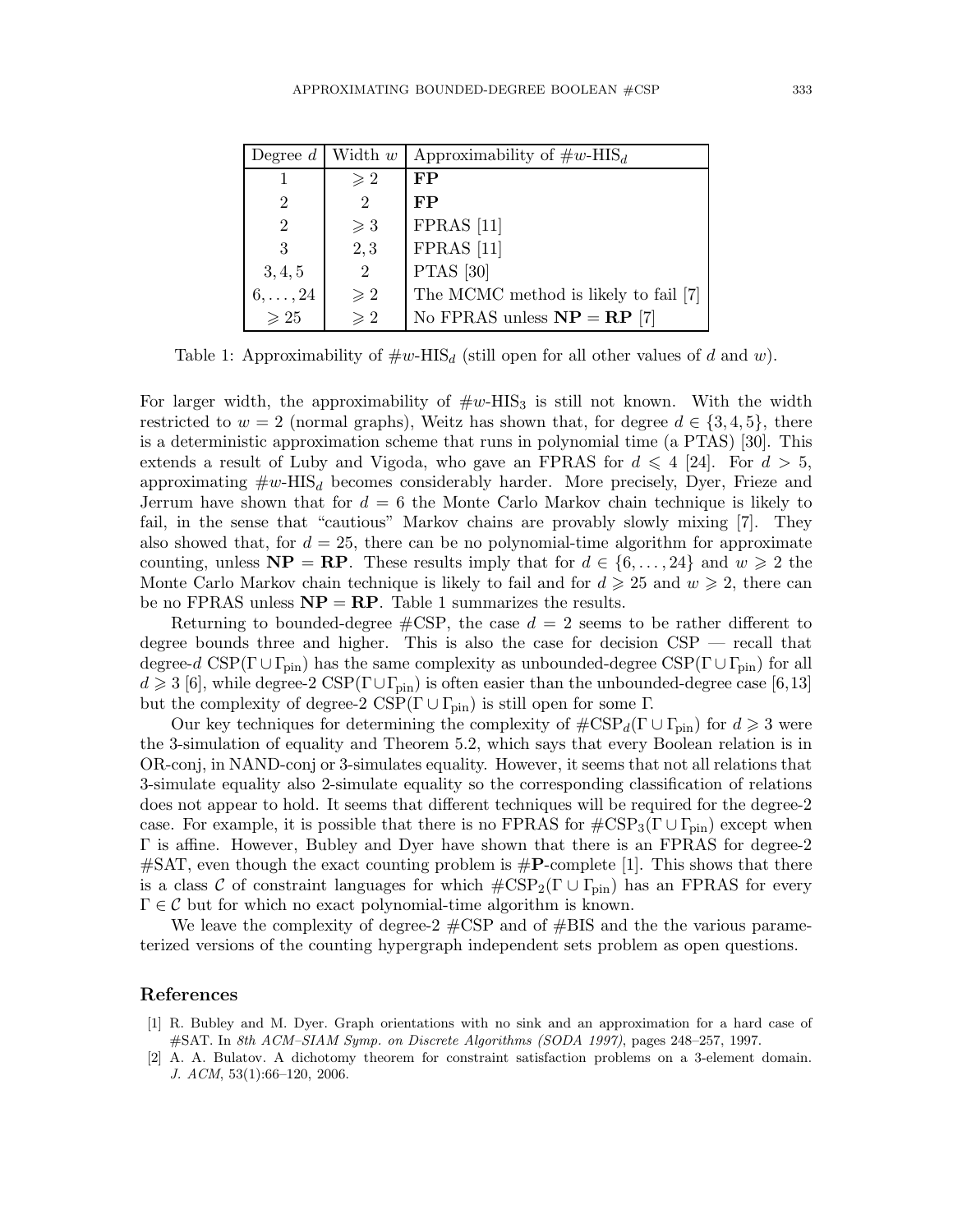| Degree $d$     | Width $w$      | Approximability of $\#w$ -HIS <sub>d</sub> |
|----------------|----------------|--------------------------------------------|
|                | $\geqslant 2$  | FP                                         |
| $\overline{2}$ | $\overline{2}$ | FP                                         |
| 2              | $\geqslant$ 3  | $FPRAS$ [11]                               |
| 3              | 2, 3           | $FPRAS$ [11]                               |
| 3, 4, 5        | $\overline{2}$ | <b>PTAS</b> [30]                           |
| $6,\ldots,24$  | $\geqslant 2$  | The MCMC method is likely to fail [7]      |
| $\geqslant 25$ | $\geqslant 2$  | No FPRAS unless $NP = RP$ [7]              |

Table 1: Approximability of  $\#w\text{-HIS}_d$  (still open for all other values of d and w).

For larger width, the approximability of  $\#w$ -HIS<sub>3</sub> is still not known. With the width restricted to  $w = 2$  (normal graphs), Weitz has shown that, for degree  $d \in \{3, 4, 5\}$ , there is a deterministic approximation scheme that runs in polynomial time (a PTAS) [30]. This extends a result of Luby and Vigoda, who gave an FPRAS for  $d \leq 4$  [24]. For  $d > 5$ , approximating  $\#w\text{-HIS}_d$  becomes considerably harder. More precisely, Dyer, Frieze and Jerrum have shown that for  $d = 6$  the Monte Carlo Markov chain technique is likely to fail, in the sense that "cautious" Markov chains are provably slowly mixing [7]. They also showed that, for  $d = 25$ , there can be no polynomial-time algorithm for approximate counting, unless  $NP = RP$ . These results imply that for  $d \in \{6, ..., 24\}$  and  $w \ge 2$  the Monte Carlo Markov chain technique is likely to fail and for  $d \geq 25$  and  $w \geq 2$ , there can be no FPRAS unless  $NP = RP$ . Table 1 summarizes the results.

Returning to bounded-degree  $\#\text{CSP}$ , the case  $d=2$  seems to be rather different to degree bounds three and higher. This is also the case for decision  $CSP$  — recall that degree-d  $CSP(\Gamma \cup \Gamma_{\text{pin}})$  has the same complexity as unbounded-degree  $CSP(\Gamma \cup \Gamma_{\text{pin}})$  for all  $d \geq 3$  [6], while degree-2 CSP( $\Gamma \cup \Gamma_{\text{pin}}$ ) is often easier than the unbounded-degree case [6,13] but the complexity of degree-2  $CSP(\Gamma \cup \Gamma_{\text{pin}})$  is still open for some  $\Gamma$ .

Our key techniques for determining the complexity of  $\#\text{CSP}_d(\Gamma \cup \Gamma_{\text{pin}})$  for  $d \geq 3$  were the 3-simulation of equality and Theorem 5.2, which says that every Boolean relation is in OR-conj, in NAND-conj or 3-simulates equality. However, it seems that not all relations that 3-simulate equality also 2-simulate equality so the corresponding classification of relations does not appear to hold. It seems that different techniques will be required for the degree-2 case. For example, it is possible that there is no FPRAS for  $\text{\#CSP}_3(\Gamma \cup \Gamma_{\text{pin}})$  except when Γ is affine. However, Bubley and Dyer have shown that there is an FPRAS for degree-2  $\#\text{SAT}$ , even though the exact counting problem is  $\#\text{P-complete }[1]$ . This shows that there is a class C of constraint languages for which  $\#\text{CSP}_2(\Gamma \cup \Gamma_{\text{pin}})$  has an FPRAS for every  $\Gamma \in \mathcal{C}$  but for which no exact polynomial-time algorithm is known.

We leave the complexity of degree-2  $\#CSP$  and of  $\#BIS$  and the the various parameterized versions of the counting hypergraph independent sets problem as open questions.

#### References

- [1] R. Bubley and M. Dyer. Graph orientations with no sink and an approximation for a hard case of #SAT. In *8th ACM–SIAM Symp. on Discrete Algorithms (SODA 1997)*, pages 248–257, 1997.
- [2] A. A. Bulatov. A dichotomy theorem for constraint satisfaction problems on a 3-element domain. *J. ACM*, 53(1):66–120, 2006.